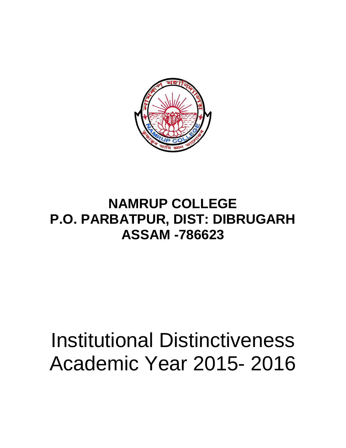

## **NAMRUP COLLEGE P.O. PARBATPUR, DIST: DIBRUGARH ASSAM -786623**

## Institutional Distinctiveness Academic Year 2015- 2016